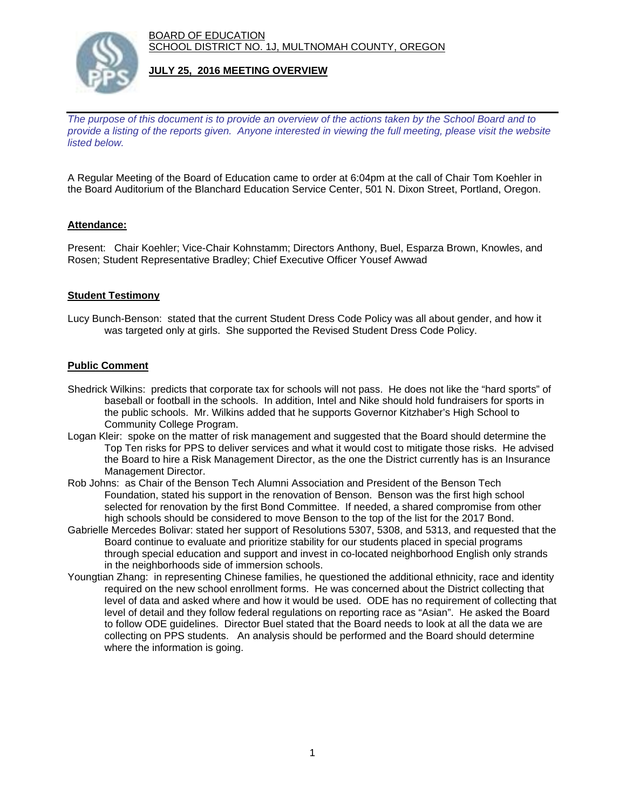BOARD OF EDUCATION SCHOOL DISTRICT NO. 1J, MULTNOMAH COUNTY, OREGON



## **JULY 25, 2016 MEETING OVERVIEW**

*The purpose of this document is to provide an overview of the actions taken by the School Board and to provide a listing of the reports given. Anyone interested in viewing the full meeting, please visit the website listed below.*

A Regular Meeting of the Board of Education came to order at 6:04pm at the call of Chair Tom Koehler in the Board Auditorium of the Blanchard Education Service Center, 501 N. Dixon Street, Portland, Oregon.

# **Attendance:**

Present: Chair Koehler; Vice-Chair Kohnstamm; Directors Anthony, Buel, Esparza Brown, Knowles, and Rosen; Student Representative Bradley; Chief Executive Officer Yousef Awwad

### **Student Testimony**

Lucy Bunch-Benson: stated that the current Student Dress Code Policy was all about gender, and how it was targeted only at girls. She supported the Revised Student Dress Code Policy.

## **Public Comment**

- Shedrick Wilkins: predicts that corporate tax for schools will not pass. He does not like the "hard sports" of baseball or football in the schools. In addition, Intel and Nike should hold fundraisers for sports in the public schools. Mr. Wilkins added that he supports Governor Kitzhaber's High School to Community College Program.
- Logan Kleir: spoke on the matter of risk management and suggested that the Board should determine the Top Ten risks for PPS to deliver services and what it would cost to mitigate those risks. He advised the Board to hire a Risk Management Director, as the one the District currently has is an Insurance Management Director.
- Rob Johns: as Chair of the Benson Tech Alumni Association and President of the Benson Tech Foundation, stated his support in the renovation of Benson. Benson was the first high school selected for renovation by the first Bond Committee. If needed, a shared compromise from other high schools should be considered to move Benson to the top of the list for the 2017 Bond.
- Gabrielle Mercedes Bolivar: stated her support of Resolutions 5307, 5308, and 5313, and requested that the Board continue to evaluate and prioritize stability for our students placed in special programs through special education and support and invest in co-located neighborhood English only strands in the neighborhoods side of immersion schools.
- Youngtian Zhang: in representing Chinese families, he questioned the additional ethnicity, race and identity required on the new school enrollment forms. He was concerned about the District collecting that level of data and asked where and how it would be used. ODE has no requirement of collecting that level of detail and they follow federal regulations on reporting race as "Asian". He asked the Board to follow ODE guidelines. Director Buel stated that the Board needs to look at all the data we are collecting on PPS students. An analysis should be performed and the Board should determine where the information is going.